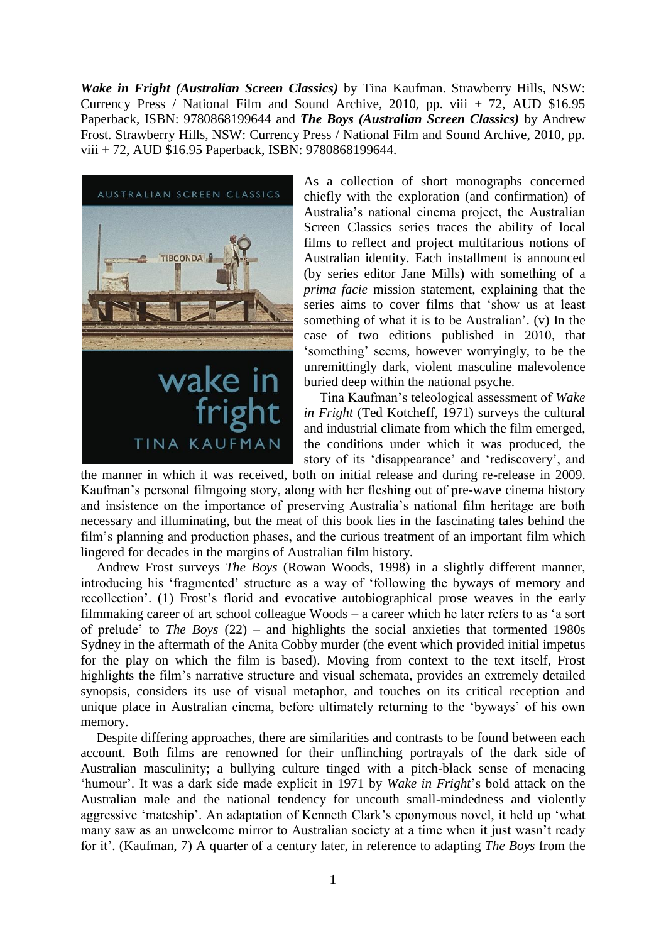*Wake in Fright (Australian Screen Classics)* by Tina Kaufman. Strawberry Hills, NSW: Currency Press / National Film and Sound Archive, 2010, pp. viii + 72, AUD \$16.95 Paperback, ISBN: 9780868199644 and *The Boys (Australian Screen Classics)* by Andrew Frost. Strawberry Hills, NSW: Currency Press / National Film and Sound Archive, 2010, pp. viii + 72, AUD \$16.95 Paperback, ISBN: 9780868199644.



As a collection of short monographs concerned chiefly with the exploration (and confirmation) of Australia's national cinema project, the Australian Screen Classics series traces the ability of local films to reflect and project multifarious notions of Australian identity. Each installment is announced (by series editor Jane Mills) with something of a *prima facie* mission statement, explaining that the series aims to cover films that 'show us at least something of what it is to be Australian'. (v) In the case of two editions published in 2010, that 'something' seems, however worryingly, to be the unremittingly dark, violent masculine malevolence buried deep within the national psyche.

Tina Kaufman's teleological assessment of *Wake in Fright* (Ted Kotcheff, 1971) surveys the cultural and industrial climate from which the film emerged, the conditions under which it was produced, the story of its 'disappearance' and 'rediscovery', and

the manner in which it was received, both on initial release and during re-release in 2009. Kaufman's personal filmgoing story, along with her fleshing out of pre-wave cinema history and insistence on the importance of preserving Australia's national film heritage are both necessary and illuminating, but the meat of this book lies in the fascinating tales behind the film's planning and production phases, and the curious treatment of an important film which lingered for decades in the margins of Australian film history.

Andrew Frost surveys *The Boys* (Rowan Woods, 1998) in a slightly different manner, introducing his 'fragmented' structure as a way of 'following the byways of memory and recollection'. (1) Frost's florid and evocative autobiographical prose weaves in the early filmmaking career of art school colleague Woods – a career which he later refers to as 'a sort of prelude' to *The Boys* (22) – and highlights the social anxieties that tormented 1980s Sydney in the aftermath of the Anita Cobby murder (the event which provided initial impetus for the play on which the film is based). Moving from context to the text itself, Frost highlights the film's narrative structure and visual schemata, provides an extremely detailed synopsis, considers its use of visual metaphor, and touches on its critical reception and unique place in Australian cinema, before ultimately returning to the 'byways' of his own memory.

Despite differing approaches, there are similarities and contrasts to be found between each account. Both films are renowned for their unflinching portrayals of the dark side of Australian masculinity; a bullying culture tinged with a pitch-black sense of menacing 'humour'. It was a dark side made explicit in 1971 by *Wake in Fright*'s bold attack on the Australian male and the national tendency for uncouth small-mindedness and violently aggressive 'mateship'. An adaptation of Kenneth Clark's eponymous novel, it held up 'what many saw as an unwelcome mirror to Australian society at a time when it just wasn't ready for it'. (Kaufman, 7) A quarter of a century later, in reference to adapting *The Boys* from the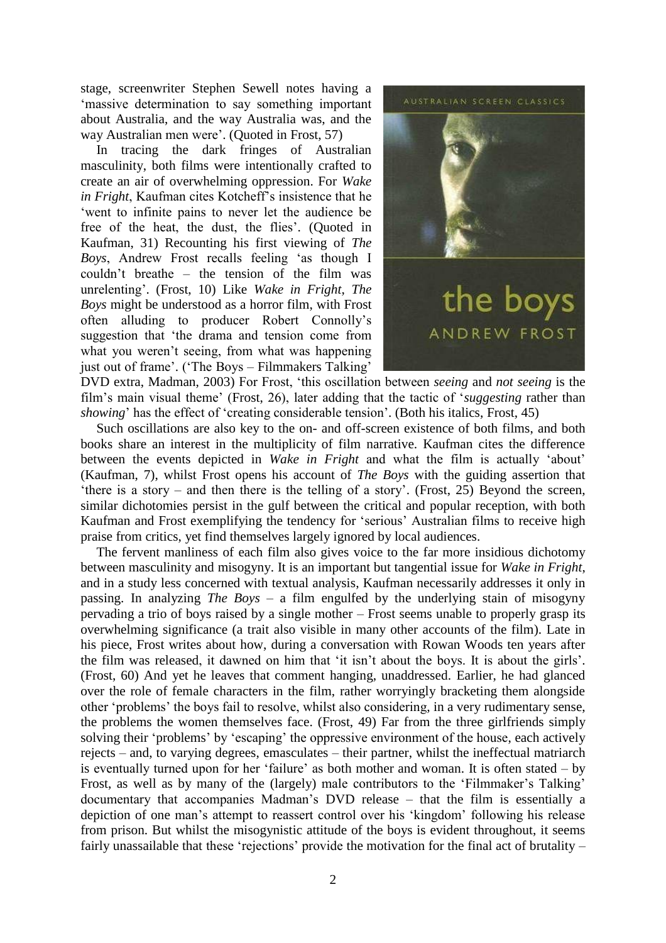stage, screenwriter Stephen Sewell notes having a 'massive determination to say something important about Australia, and the way Australia was, and the way Australian men were'. (Quoted in Frost, 57)

In tracing the dark fringes of Australian masculinity, both films were intentionally crafted to create an air of overwhelming oppression. For *Wake in Fright*, Kaufman cites Kotcheff's insistence that he 'went to infinite pains to never let the audience be free of the heat, the dust, the flies'. (Quoted in Kaufman, 31) Recounting his first viewing of *The Boys*, Andrew Frost recalls feeling 'as though I couldn't breathe – the tension of the film was unrelenting'. (Frost, 10) Like *Wake in Fright*, *The Boys* might be understood as a horror film, with Frost often alluding to producer Robert Connolly's suggestion that 'the drama and tension come from what you weren't seeing, from what was happening just out of frame'. ('The Boys – Filmmakers Talking'



DVD extra, Madman, 2003) For Frost, 'this oscillation between *seeing* and *not seeing* is the film's main visual theme' (Frost, 26), later adding that the tactic of '*suggesting* rather than *showing*' has the effect of 'creating considerable tension'. (Both his italics, Frost, 45)

Such oscillations are also key to the on- and off-screen existence of both films, and both books share an interest in the multiplicity of film narrative. Kaufman cites the difference between the events depicted in *Wake in Fright* and what the film is actually 'about' (Kaufman, 7), whilst Frost opens his account of *The Boys* with the guiding assertion that 'there is a story – and then there is the telling of a story'. (Frost, 25) Beyond the screen, similar dichotomies persist in the gulf between the critical and popular reception, with both Kaufman and Frost exemplifying the tendency for 'serious' Australian films to receive high praise from critics, yet find themselves largely ignored by local audiences.

The fervent manliness of each film also gives voice to the far more insidious dichotomy between masculinity and misogyny. It is an important but tangential issue for *Wake in Fright*, and in a study less concerned with textual analysis, Kaufman necessarily addresses it only in passing. In analyzing *The Boys* – a film engulfed by the underlying stain of misogyny pervading a trio of boys raised by a single mother – Frost seems unable to properly grasp its overwhelming significance (a trait also visible in many other accounts of the film). Late in his piece, Frost writes about how, during a conversation with Rowan Woods ten years after the film was released, it dawned on him that 'it isn't about the boys. It is about the girls'. (Frost, 60) And yet he leaves that comment hanging, unaddressed. Earlier, he had glanced over the role of female characters in the film, rather worryingly bracketing them alongside other 'problems' the boys fail to resolve, whilst also considering, in a very rudimentary sense, the problems the women themselves face. (Frost, 49) Far from the three girlfriends simply solving their 'problems' by 'escaping' the oppressive environment of the house, each actively rejects – and, to varying degrees, emasculates – their partner, whilst the ineffectual matriarch is eventually turned upon for her 'failure' as both mother and woman. It is often stated – by Frost, as well as by many of the (largely) male contributors to the 'Filmmaker's Talking' documentary that accompanies Madman's DVD release – that the film is essentially a depiction of one man's attempt to reassert control over his 'kingdom' following his release from prison. But whilst the misogynistic attitude of the boys is evident throughout, it seems fairly unassailable that these 'rejections' provide the motivation for the final act of brutality –